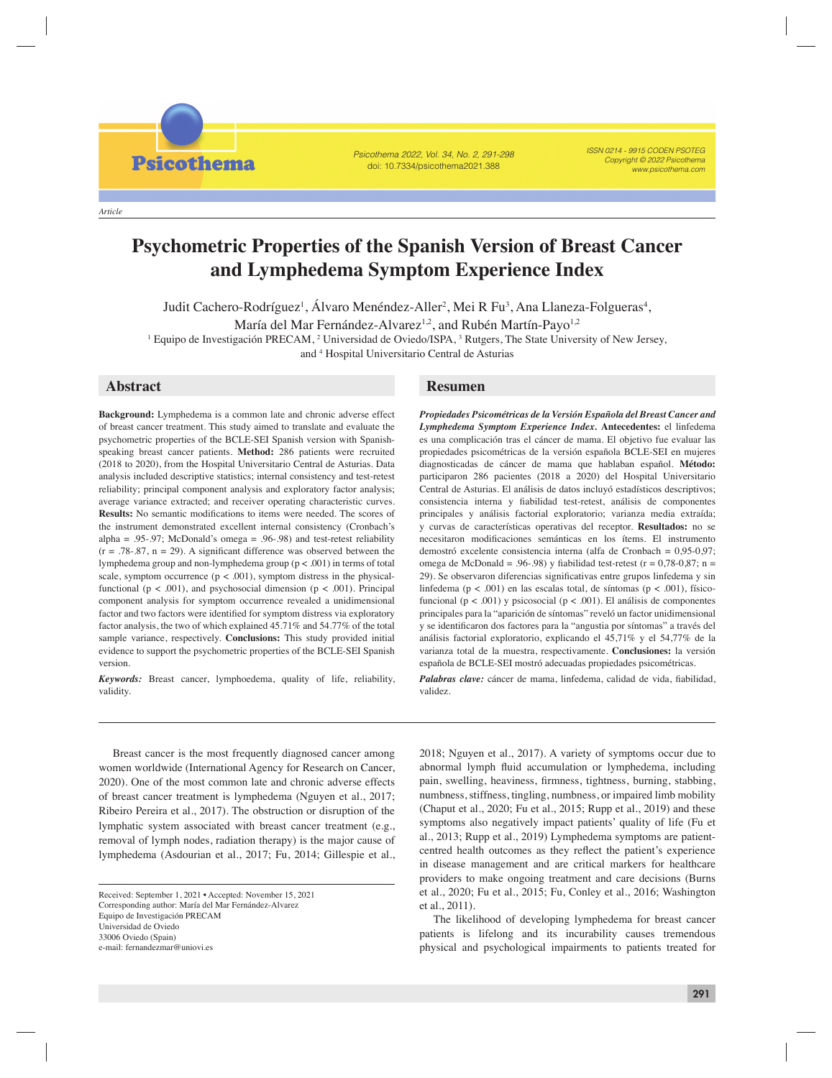*Article*

**Psicothema** 

Psicothema 2022, Vol. 34, No. 2, 291-298 doi: 10.7334/psicothema2021.388

ISSN 0214 - 9915 CODEN PSOTEG Copyright © 2022 Psicothema www.psicothema.com

# **Psychometric Properties of the Spanish Version of Breast Cancer and Lymphedema Symptom Experience Index**

Judit Cachero-Rodríguez<sup>1</sup>, Álvaro Menéndez-Aller<sup>2</sup>, Mei R Fu<sup>3</sup>, Ana Llaneza-Folgueras<sup>4</sup>,

María del Mar Fernández-Alvarez<sup>1,2</sup>, and Rubén Martín-Payo<sup>1,2</sup>

<sup>1</sup> Equipo de Investigación PRECAM, <sup>2</sup> Universidad de Oviedo/ISPA, <sup>3</sup> Rutgers, The State University of New Jersey,

and 4 Hospital Universitario Central de Asturias

**Background:** Lymphedema is a common late and chronic adverse effect of breast cancer treatment. This study aimed to translate and evaluate the psychometric properties of the BCLE-SEI Spanish version with Spanishspeaking breast cancer patients. **Method:** 286 patients were recruited (2018 to 2020), from the Hospital Universitario Central de Asturias. Data analysis included descriptive statistics; internal consistency and test-retest reliability; principal component analysis and exploratory factor analysis; average variance extracted; and receiver operating characteristic curves. Results: No semantic modifications to items were needed. The scores of the instrument demonstrated excellent internal consistency (Cronbach's alpha = .95-.97; McDonald's omega = .96-.98) and test-retest reliability  $(r = .78-.87, n = 29)$ . A significant difference was observed between the lymphedema group and non-lymphedema group (p < .001) in terms of total scale, symptom occurrence  $(p < .001)$ , symptom distress in the physicalfunctional ( $p < .001$ ), and psychosocial dimension ( $p < .001$ ). Principal component analysis for symptom occurrence revealed a unidimensional factor and two factors were identified for symptom distress via exploratory factor analysis, the two of which explained 45.71% and 54.77% of the total sample variance, respectively. **Conclusions:** This study provided initial evidence to support the psychometric properties of the BCLE-SEI Spanish version.

*Keywords:* Breast cancer, lymphoedema, quality of life, reliability, validity.

Breast cancer is the most frequently diagnosed cancer among women worldwide (International Agency for Research on Cancer, 2020). One of the most common late and chronic adverse effects of breast cancer treatment is lymphedema (Nguyen et al., 2017; Ribeiro Pereira et al., 2017). The obstruction or disruption of the lymphatic system associated with breast cancer treatment (e.g., removal of lymph nodes, radiation therapy) is the major cause of lymphedema (Asdourian et al., 2017; Fu, 2014; Gillespie et al.,

## **Abstract Resumen**

*Propiedades Psicométricas de la Versión Española del Breast Cancer and Lymphedema Symptom Experience Index.* **Antecedentes:** el linfedema es una complicación tras el cáncer de mama. El objetivo fue evaluar las propiedades psicométricas de la versión española BCLE-SEI en mujeres diagnosticadas de cáncer de mama que hablaban español. **Método:** participaron 286 pacientes (2018 a 2020) del Hospital Universitario Central de Asturias. El análisis de datos incluyó estadísticos descriptivos; consistencia interna y fiabilidad test-retest, análisis de componentes principales y análisis factorial exploratorio; varianza media extraída; y curvas de características operativas del receptor. **Resultados:** no se necesitaron modificaciones semánticas en los ítems. El instrumento demostró excelente consistencia interna (alfa de Cronbach = 0,95-0,97; omega de McDonald = .96-.98) y fiabilidad test-retest ( $r = 0.78-0.87$ ; n = 29). Se observaron diferencias significativas entre grupos linfedema y sin linfedema ( $p < .001$ ) en las escalas total, de síntomas ( $p < .001$ ), físicofuncional ( $p < .001$ ) y psicosocial ( $p < .001$ ). El análisis de componentes principales para la "aparición de síntomas" reveló un factor unidimensional y se identificaron dos factores para la "angustia por síntomas" a través del análisis factorial exploratorio, explicando el 45,71% y el 54,77% de la varianza total de la muestra, respectivamente. **Conclusiones:** la versión española de BCLE-SEI mostró adecuadas propiedades psicométricas.

Palabras clave: cáncer de mama, linfedema, calidad de vida, fiabilidad, validez.

2018; Nguyen et al., 2017). A variety of symptoms occur due to abnormal lymph fluid accumulation or lymphedema, including pain, swelling, heaviness, firmness, tightness, burning, stabbing, numbness, stiffness, tingling, numbness, or impaired limb mobility (Chaput et al., 2020; Fu et al., 2015; Rupp et al., 2019) and these symptoms also negatively impact patients' quality of life (Fu et al., 2013; Rupp et al., 2019) Lymphedema symptoms are patientcentred health outcomes as they reflect the patient's experience in disease management and are critical markers for healthcare providers to make ongoing treatment and care decisions (Burns et al., 2020; Fu et al., 2015; Fu, Conley et al., 2016; Washington et al., 2011).

The likelihood of developing lymphedema for breast cancer patients is lifelong and its incurability causes tremendous physical and psychological impairments to patients treated for

Received: September 1, 2021 • Accepted: November 15, 2021 Corresponding author: María del Mar Fernández-Alvarez Equipo de Investigación PRECAM Universidad de Oviedo 33006 Oviedo (Spain) e-mail: fernandezmar@uniovi.es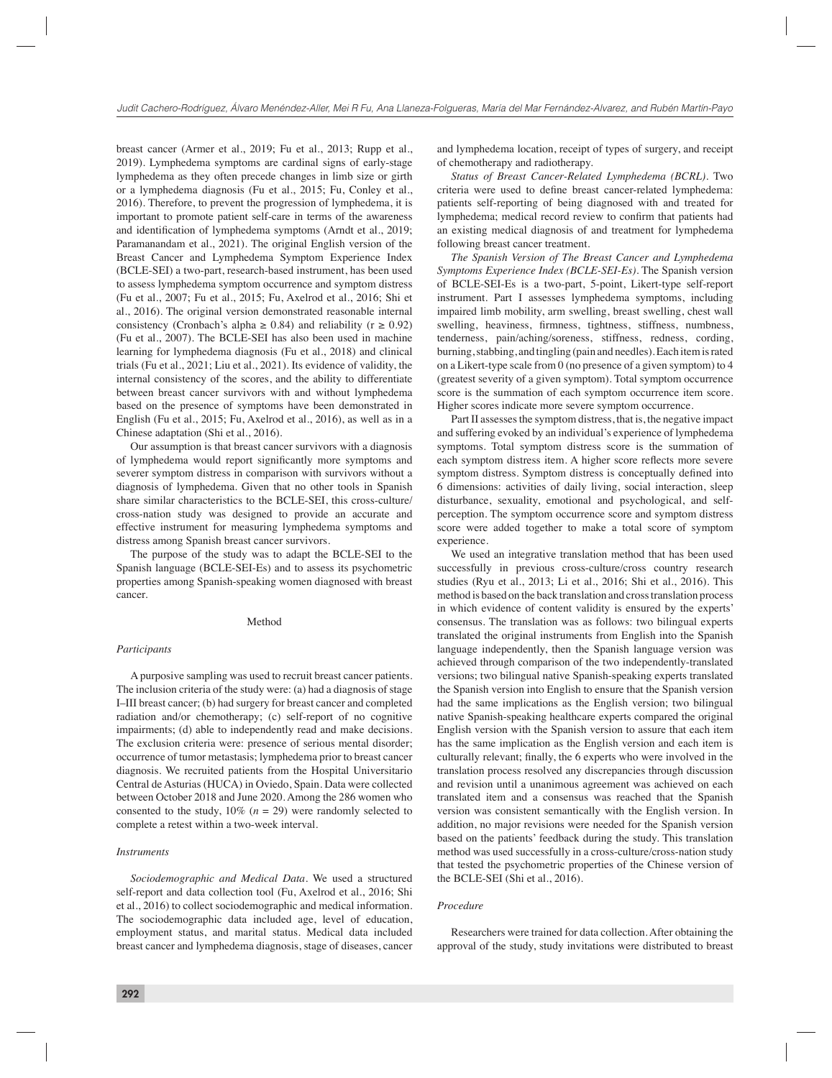breast cancer (Armer et al., 2019; Fu et al., 2013; Rupp et al., 2019). Lymphedema symptoms are cardinal signs of early-stage lymphedema as they often precede changes in limb size or girth or a lymphedema diagnosis (Fu et al., 2015; Fu, Conley et al., 2016). Therefore, to prevent the progression of lymphedema, it is important to promote patient self-care in terms of the awareness and identification of lymphedema symptoms (Arndt et al., 2019; Paramanandam et al., 2021). The original English version of the Breast Cancer and Lymphedema Symptom Experience Index (BCLE-SEI) a two-part, research-based instrument, has been used to assess lymphedema symptom occurrence and symptom distress (Fu et al., 2007; Fu et al., 2015; Fu, Axelrod et al., 2016; Shi et al., 2016). The original version demonstrated reasonable internal consistency (Cronbach's alpha  $\geq$  0.84) and reliability (r  $\geq$  0.92) (Fu et al., 2007). The BCLE-SEI has also been used in machine learning for lymphedema diagnosis (Fu et al., 2018) and clinical trials (Fu et al., 2021; Liu et al., 2021). Its evidence of validity, the internal consistency of the scores, and the ability to differentiate between breast cancer survivors with and without lymphedema based on the presence of symptoms have been demonstrated in English (Fu et al., 2015; Fu, Axelrod et al., 2016), as well as in a Chinese adaptation (Shi et al., 2016).

Our assumption is that breast cancer survivors with a diagnosis of lymphedema would report significantly more symptoms and severer symptom distress in comparison with survivors without a diagnosis of lymphedema. Given that no other tools in Spanish share similar characteristics to the BCLE-SEI, this cross-culture/ cross-nation study was designed to provide an accurate and effective instrument for measuring lymphedema symptoms and distress among Spanish breast cancer survivors.

The purpose of the study was to adapt the BCLE-SEI to the Spanish language (BCLE-SEI-Es) and to assess its psychometric properties among Spanish-speaking women diagnosed with breast cancer.

#### Method

#### *Participants*

A purposive sampling was used to recruit breast cancer patients. The inclusion criteria of the study were: (a) had a diagnosis of stage I–III breast cancer; (b) had surgery for breast cancer and completed radiation and/or chemotherapy; (c) self-report of no cognitive impairments; (d) able to independently read and make decisions. The exclusion criteria were: presence of serious mental disorder; occurrence of tumor metastasis; lymphedema prior to breast cancer diagnosis. We recruited patients from the Hospital Universitario Central de Asturias (HUCA) in Oviedo, Spain. Data were collected between October 2018 and June 2020. Among the 286 women who consented to the study,  $10\%$  ( $n = 29$ ) were randomly selected to complete a retest within a two-week interval.

#### *Instruments*

*Sociodemographic and Medical Data*. We used a structured self-report and data collection tool (Fu, Axelrod et al., 2016; Shi et al., 2016) to collect sociodemographic and medical information. The sociodemographic data included age, level of education, employment status, and marital status. Medical data included breast cancer and lymphedema diagnosis, stage of diseases, cancer

and lymphedema location, receipt of types of surgery, and receipt of chemotherapy and radiotherapy.

*Status of Breast Cancer-Related Lymphedema (BCRL)*. Two criteria were used to define breast cancer-related lymphedema: patients self-reporting of being diagnosed with and treated for lymphedema; medical record review to confirm that patients had an existing medical diagnosis of and treatment for lymphedema following breast cancer treatment.

*The Spanish Version of The Breast Cancer and Lymphedema Symptoms Experience Index (BCLE-SEI-Es)*. The Spanish version of BCLE-SEI-Es is a two-part, 5-point, Likert-type self-report instrument. Part I assesses lymphedema symptoms, including impaired limb mobility, arm swelling, breast swelling, chest wall swelling, heaviness, firmness, tightness, stiffness, numbness, tenderness, pain/aching/soreness, stiffness, redness, cording, burning, stabbing, and tingling (pain and needles). Each item is rated on a Likert-type scale from 0 (no presence of a given symptom) to 4 (greatest severity of a given symptom). Total symptom occurrence score is the summation of each symptom occurrence item score. Higher scores indicate more severe symptom occurrence.

Part II assesses the symptom distress, that is, the negative impact and suffering evoked by an individual's experience of lymphedema symptoms. Total symptom distress score is the summation of each symptom distress item. A higher score reflects more severe symptom distress. Symptom distress is conceptually defined into 6 dimensions: activities of daily living, social interaction, sleep disturbance, sexuality, emotional and psychological, and selfperception. The symptom occurrence score and symptom distress score were added together to make a total score of symptom experience.

We used an integrative translation method that has been used successfully in previous cross-culture/cross country research studies (Ryu et al., 2013; Li et al., 2016; Shi et al., 2016). This method is based on the back translation and cross translation process in which evidence of content validity is ensured by the experts' consensus. The translation was as follows: two bilingual experts translated the original instruments from English into the Spanish language independently, then the Spanish language version was achieved through comparison of the two independently-translated versions; two bilingual native Spanish-speaking experts translated the Spanish version into English to ensure that the Spanish version had the same implications as the English version; two bilingual native Spanish-speaking healthcare experts compared the original English version with the Spanish version to assure that each item has the same implication as the English version and each item is culturally relevant; finally, the 6 experts who were involved in the translation process resolved any discrepancies through discussion and revision until a unanimous agreement was achieved on each translated item and a consensus was reached that the Spanish version was consistent semantically with the English version. In addition, no major revisions were needed for the Spanish version based on the patients' feedback during the study. This translation method was used successfully in a cross-culture/cross-nation study that tested the psychometric properties of the Chinese version of the BCLE-SEI (Shi et al., 2016).

#### *Procedure*

Researchers were trained for data collection. After obtaining the approval of the study, study invitations were distributed to breast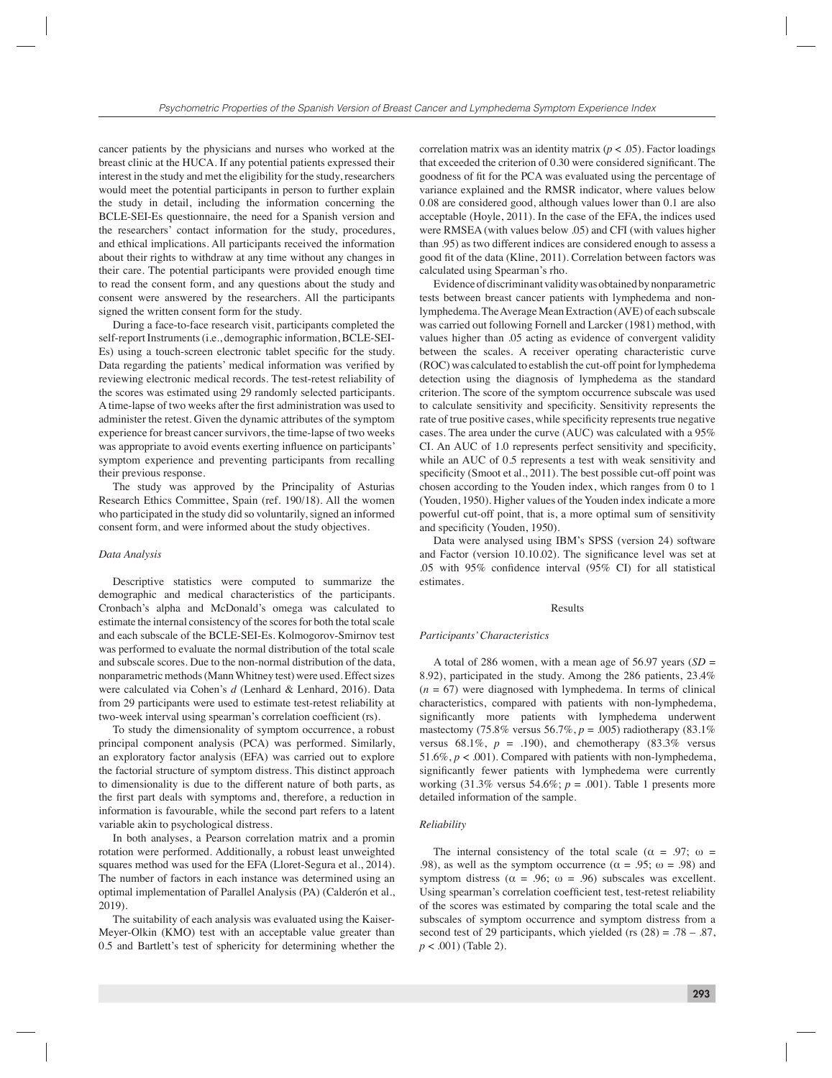cancer patients by the physicians and nurses who worked at the breast clinic at the HUCA. If any potential patients expressed their interest in the study and met the eligibility for the study, researchers would meet the potential participants in person to further explain the study in detail, including the information concerning the BCLE-SEI-Es questionnaire, the need for a Spanish version and the researchers' contact information for the study, procedures, and ethical implications. All participants received the information about their rights to withdraw at any time without any changes in their care. The potential participants were provided enough time to read the consent form, and any questions about the study and consent were answered by the researchers. All the participants signed the written consent form for the study.

During a face-to-face research visit, participants completed the self-report Instruments (i.e., demographic information, BCLE-SEI-Es) using a touch-screen electronic tablet specific for the study. Data regarding the patients' medical information was verified by reviewing electronic medical records. The test-retest reliability of the scores was estimated using 29 randomly selected participants. A time-lapse of two weeks after the first administration was used to administer the retest. Given the dynamic attributes of the symptom experience for breast cancer survivors, the time-lapse of two weeks was appropriate to avoid events exerting influence on participants' symptom experience and preventing participants from recalling their previous response.

The study was approved by the Principality of Asturias Research Ethics Committee, Spain (ref. 190/18). All the women who participated in the study did so voluntarily, signed an informed consent form, and were informed about the study objectives.

#### *Data Analysis*

Descriptive statistics were computed to summarize the demographic and medical characteristics of the participants. Cronbach's alpha and McDonald's omega was calculated to estimate the internal consistency of the scores for both the total scale and each subscale of the BCLE-SEI-Es. Kolmogorov-Smirnov test was performed to evaluate the normal distribution of the total scale and subscale scores. Due to the non-normal distribution of the data, nonparametric methods (Mann Whitney test) were used. Effect sizes were calculated via Cohen's *d* (Lenhard & Lenhard, 2016). Data from 29 participants were used to estimate test-retest reliability at two-week interval using spearman's correlation coefficient (rs).

To study the dimensionality of symptom occurrence, a robust principal component analysis (PCA) was performed. Similarly, an exploratory factor analysis (EFA) was carried out to explore the factorial structure of symptom distress. This distinct approach to dimensionality is due to the different nature of both parts, as the first part deals with symptoms and, therefore, a reduction in information is favourable, while the second part refers to a latent variable akin to psychological distress.

In both analyses, a Pearson correlation matrix and a promin rotation were performed. Additionally, a robust least unweighted squares method was used for the EFA (Lloret-Segura et al., 2014). The number of factors in each instance was determined using an optimal implementation of Parallel Analysis (PA) (Calderón et al., 2019).

The suitability of each analysis was evaluated using the Kaiser-Meyer-Olkin (KMO) test with an acceptable value greater than 0.5 and Bartlett's test of sphericity for determining whether the

correlation matrix was an identity matrix  $(p < .05)$ . Factor loadings that exceeded the criterion of  $0.30$  were considered significant. The goodness of fit for the PCA was evaluated using the percentage of variance explained and the RMSR indicator, where values below 0.08 are considered good, although values lower than 0.1 are also acceptable (Hoyle, 2011). In the case of the EFA, the indices used were RMSEA (with values below .05) and CFI (with values higher than .95) as two different indices are considered enough to assess a good fit of the data (Kline, 2011). Correlation between factors was calculated using Spearman's rho.

Evidence of discriminant validity was obtained by nonparametric tests between breast cancer patients with lymphedema and nonlymphedema. The Average Mean Extraction (AVE) of each subscale was carried out following Fornell and Larcker (1981) method, with values higher than .05 acting as evidence of convergent validity between the scales. A receiver operating characteristic curve (ROC) was calculated to establish the cut-off point for lymphedema detection using the diagnosis of lymphedema as the standard criterion. The score of the symptom occurrence subscale was used to calculate sensitivity and specificity. Sensitivity represents the rate of true positive cases, while specificity represents true negative cases. The area under the curve (AUC) was calculated with a 95% CI. An AUC of 1.0 represents perfect sensitivity and specificity, while an AUC of 0.5 represents a test with weak sensitivity and specificity (Smoot et al., 2011). The best possible cut-off point was chosen according to the Youden index, which ranges from 0 to 1 (Youden, 1950). Higher values of the Youden index indicate a more powerful cut-off point, that is, a more optimal sum of sensitivity and specificity (Youden, 1950).

Data were analysed using IBM's SPSS (version 24) software and Factor (version 10.10.02). The significance level was set at .05 with  $95\%$  confidence interval ( $95\%$  CI) for all statistical estimates.

#### Results

#### *Participants' Characteristics*

A total of 286 women, with a mean age of 56.97 years (*SD* = 8.92), participated in the study. Among the 286 patients, 23.4%  $(n = 67)$  were diagnosed with lymphedema. In terms of clinical characteristics, compared with patients with non-lymphedema, significantly more patients with lymphedema underwent mastectomy (75.8% versus 56.7%, *p* = .005) radiotherapy (83.1% versus 68.1%,  $p = .190$ ), and chemotherapy (83.3% versus 51.6%, *p* < .001). Compared with patients with non-lymphedema, significantly fewer patients with lymphedema were currently working  $(31.3\%$  versus 54.6%;  $p = .001$ ). Table 1 presents more detailed information of the sample.

### *Reliability*

The internal consistency of the total scale ( $\alpha = .97$ ;  $\omega =$ .98), as well as the symptom occurrence ( $\alpha = .95$ ; ω = .98) and symptom distress ( $\alpha = .96$ ;  $\omega = .96$ ) subscales was excellent. Using spearman's correlation coefficient test, test-retest reliability of the scores was estimated by comparing the total scale and the subscales of symptom occurrence and symptom distress from a second test of 29 participants, which yielded (rs  $(28) = .78 - .87$ , *p* < .001) (Table 2).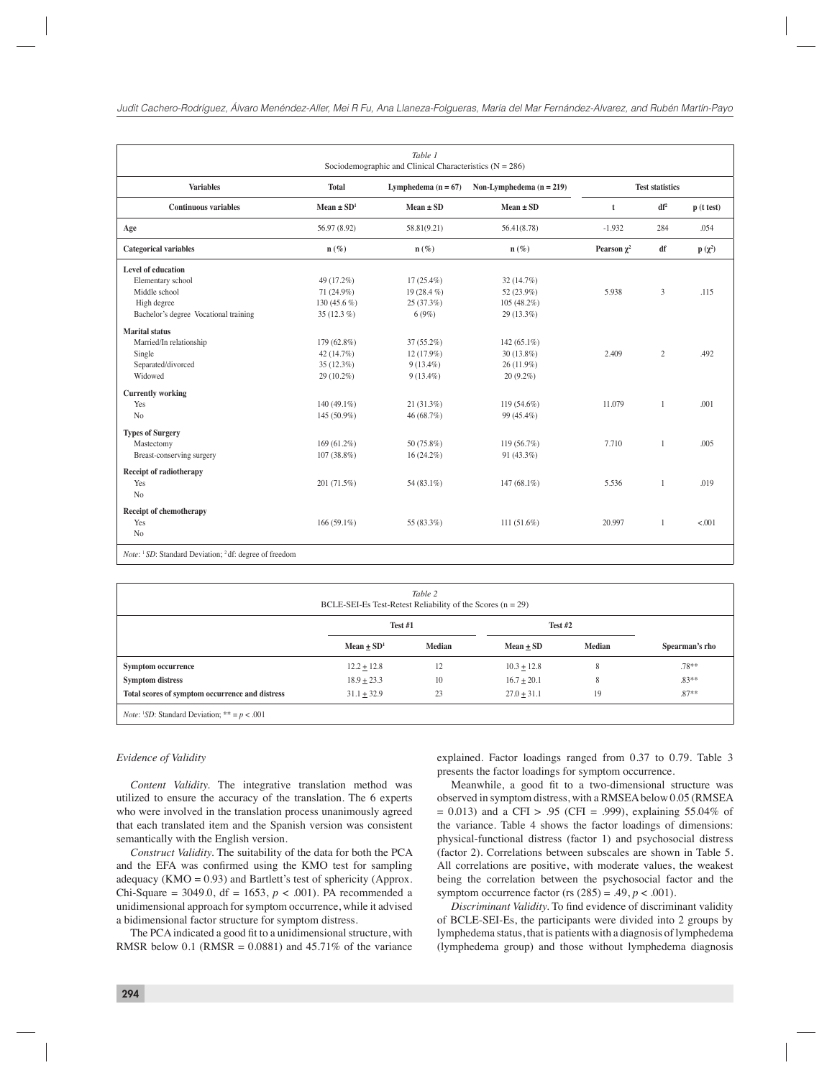| Lymphedema $(n = 67)$<br>$Mean \pm SD$<br>58.81(9.21)<br>$\mathbf{n}(\%)$<br>$17(25.4\%)$<br>19 $(28.4\%)$<br>25(37.3%)<br>6(9%)<br>37 (55.2%) | Non-Lymphedema $(n = 219)$<br>$Mean \pm SD$<br>56.41(8.78)<br>$n(\%)$<br>32(14.7%)<br>52 (23.9%)<br>$105(48.2\%)$<br>29 (13.3%) | $\mathbf t$<br>$-1.932$<br>Pearson $\chi^2$<br>5.938 | <b>Test statistics</b><br>$df^2$<br>284<br>df<br>3 | p(t test)<br>.054<br>$p(\chi^2)$<br>.115 |
|------------------------------------------------------------------------------------------------------------------------------------------------|---------------------------------------------------------------------------------------------------------------------------------|------------------------------------------------------|----------------------------------------------------|------------------------------------------|
|                                                                                                                                                |                                                                                                                                 |                                                      |                                                    |                                          |
|                                                                                                                                                |                                                                                                                                 |                                                      |                                                    |                                          |
|                                                                                                                                                |                                                                                                                                 |                                                      |                                                    |                                          |
|                                                                                                                                                |                                                                                                                                 |                                                      |                                                    |                                          |
|                                                                                                                                                |                                                                                                                                 |                                                      |                                                    |                                          |
|                                                                                                                                                |                                                                                                                                 |                                                      |                                                    |                                          |
|                                                                                                                                                |                                                                                                                                 |                                                      |                                                    |                                          |
|                                                                                                                                                |                                                                                                                                 |                                                      |                                                    |                                          |
|                                                                                                                                                |                                                                                                                                 |                                                      |                                                    |                                          |
|                                                                                                                                                |                                                                                                                                 |                                                      |                                                    |                                          |
|                                                                                                                                                | 142 $(65.1\%)$                                                                                                                  |                                                      |                                                    |                                          |
| $12(17.9\%)$                                                                                                                                   | $30(13.8\%)$                                                                                                                    | 2.409                                                | $\overline{2}$                                     | .492                                     |
| $9(13.4\%)$                                                                                                                                    | $26(11.9\%)$                                                                                                                    |                                                      |                                                    |                                          |
| $9(13.4\%)$                                                                                                                                    | $20(9.2\%)$                                                                                                                     |                                                      |                                                    |                                          |
|                                                                                                                                                |                                                                                                                                 |                                                      |                                                    |                                          |
| $21(31.3\%)$                                                                                                                                   | 119 (54.6%)                                                                                                                     | 11.079                                               | $\overline{1}$                                     | .001                                     |
| 46 (68.7%)                                                                                                                                     | 99 (45.4%)                                                                                                                      |                                                      |                                                    |                                          |
|                                                                                                                                                |                                                                                                                                 |                                                      |                                                    |                                          |
| 50 (75.8%)                                                                                                                                     | 119 (56.7%)                                                                                                                     | 7.710                                                | $\mathbf{1}$                                       | .005                                     |
| $16(24.2\%)$                                                                                                                                   | $91(43.3\%)$                                                                                                                    |                                                      |                                                    |                                          |
|                                                                                                                                                |                                                                                                                                 |                                                      |                                                    |                                          |
| 54 (83.1%)                                                                                                                                     | 147 (68.1%)                                                                                                                     | 5.536                                                | $\overline{1}$                                     | .019                                     |
|                                                                                                                                                |                                                                                                                                 |                                                      |                                                    |                                          |
|                                                                                                                                                |                                                                                                                                 |                                                      |                                                    |                                          |
| 55 (83.3%)                                                                                                                                     | $111(51.6\%)$                                                                                                                   | 20.997                                               | 1                                                  | < .001                                   |
|                                                                                                                                                |                                                                                                                                 |                                                      |                                                    |                                          |
|                                                                                                                                                |                                                                                                                                 |                                                      |                                                    |                                          |

| Table 2<br>BCLE-SEI-Es Test-Retest Reliability of the Scores $(n = 29)$    |                            |        |               |               |                |  |
|----------------------------------------------------------------------------|----------------------------|--------|---------------|---------------|----------------|--|
|                                                                            | Test #1                    |        | Test $#2$     |               |                |  |
|                                                                            | Mean $\pm$ SD <sup>1</sup> | Median | Mean $\pm$ SD | <b>Median</b> | Spearman's rho |  |
| <b>Symptom occurrence</b>                                                  | $12.2 + 12.8$              | 12     | $10.3 + 12.8$ | 8             | $.78**$        |  |
| <b>Symptom distress</b>                                                    | $18.9 + 23.3$              | 10     | $16.7 + 20.1$ | 8             | $.83**$        |  |
| Total scores of symptom occurrence and distress                            | $31.1 + 32.9$              | 23     | $27.0 + 31.1$ | 19            | $.87**$        |  |
| <i>Note</i> : <sup>1</sup> <i>SD</i> : Standard Deviation; ** = $p < .001$ |                            |        |               |               |                |  |

#### *Evidence of Validity*

*Content Validity.* The integrative translation method was utilized to ensure the accuracy of the translation. The 6 experts who were involved in the translation process unanimously agreed that each translated item and the Spanish version was consistent semantically with the English version.

*Construct Validity.* The suitability of the data for both the PCA and the EFA was confirmed using the KMO test for sampling adequacy (KMO = 0.93) and Bartlett's test of sphericity (Approx. Chi-Square = 3049.0, df = 1653,  $p < .001$ ). PA recommended a unidimensional approach for symptom occurrence, while it advised a bidimensional factor structure for symptom distress.

The PCA indicated a good fit to a unidimensional structure, with RMSR below 0.1 (RMSR =  $0.0881$ ) and 45.71% of the variance

explained. Factor loadings ranged from 0.37 to 0.79. Table 3 presents the factor loadings for symptom occurrence.

Meanwhile, a good fit to a two-dimensional structure was observed in symptom distress, with a RMSEA below 0.05 (RMSEA  $= 0.013$ ) and a CFI > .95 (CFI = .999), explaining 55.04% of the variance. Table 4 shows the factor loadings of dimensions: physical-functional distress (factor 1) and psychosocial distress (factor 2). Correlations between subscales are shown in Table 5. All correlations are positive, with moderate values, the weakest being the correlation between the psychosocial factor and the symptom occurrence factor (rs  $(285) = .49, p < .001$ ).

**Discriminant Validity. To find evidence of discriminant validity** of BCLE-SEI-Es, the participants were divided into 2 groups by lymphedema status, that is patients with a diagnosis of lymphedema (lymphedema group) and those without lymphedema diagnosis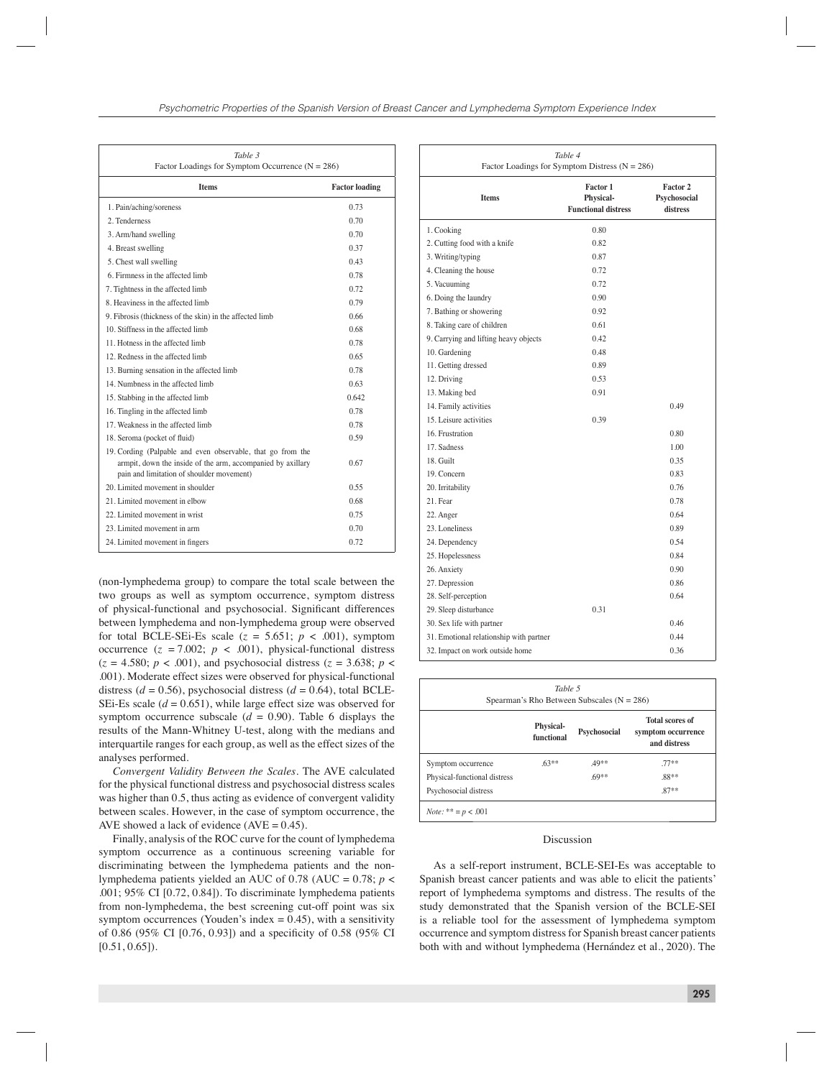| Table 3<br>Factor Loadings for Symptom Occurrence ( $N = 286$ )                                                                                                         |                       |  |  |  |  |
|-------------------------------------------------------------------------------------------------------------------------------------------------------------------------|-----------------------|--|--|--|--|
| <b>Items</b>                                                                                                                                                            | <b>Factor loading</b> |  |  |  |  |
| 1. Pain/aching/soreness                                                                                                                                                 | 0.73                  |  |  |  |  |
| 2. Tenderness                                                                                                                                                           | 070                   |  |  |  |  |
| 3. Arm/hand swelling                                                                                                                                                    | 0.70                  |  |  |  |  |
| 4. Breast swelling                                                                                                                                                      | 0.37                  |  |  |  |  |
| 5. Chest wall swelling                                                                                                                                                  | 0.43                  |  |  |  |  |
| 6 Firmness in the affected limb                                                                                                                                         | 0.78                  |  |  |  |  |
| 7. Tightness in the affected limb                                                                                                                                       | 0.72                  |  |  |  |  |
| 8. Heaviness in the affected limb                                                                                                                                       | 0.79                  |  |  |  |  |
| 9. Fibrosis (thickness of the skin) in the affected limb                                                                                                                | 0.66                  |  |  |  |  |
| 10. Stiffness in the affected limb                                                                                                                                      | 0.68                  |  |  |  |  |
| 11. Hotness in the affected limb                                                                                                                                        | 0.78                  |  |  |  |  |
| 12. Redness in the affected limb                                                                                                                                        | 0.65                  |  |  |  |  |
| 13. Burning sensation in the affected limb                                                                                                                              | 0.78                  |  |  |  |  |
| 14 Numbness in the affected limb                                                                                                                                        | 0.63                  |  |  |  |  |
| 15. Stabbing in the affected limb                                                                                                                                       | 0.642                 |  |  |  |  |
| 16. Tingling in the affected limb                                                                                                                                       | 0.78                  |  |  |  |  |
| 17 Weakness in the affected limb                                                                                                                                        | 0.78                  |  |  |  |  |
| 18. Seroma (pocket of fluid)                                                                                                                                            | 0.59                  |  |  |  |  |
| 19. Cording (Palpable and even observable, that go from the<br>armpit, down the inside of the arm, accompanied by axillary<br>pain and limitation of shoulder movement) | 0.67                  |  |  |  |  |
| 20. Limited movement in shoulder                                                                                                                                        | 0.55                  |  |  |  |  |
| 21. Limited movement in elbow                                                                                                                                           | 0.68                  |  |  |  |  |
| 22. Limited movement in wrist                                                                                                                                           | 0.75                  |  |  |  |  |
| 23. Limited movement in arm                                                                                                                                             | 0.70                  |  |  |  |  |
| 24. Limited movement in fingers                                                                                                                                         | 0.72                  |  |  |  |  |

(non-lymphedema group) to compare the total scale between the two groups as well as symptom occurrence, symptom distress of physical-functional and psychosocial. Significant differences between lymphedema and non-lymphedema group were observed for total BCLE-SEi-Es scale ( $z = 5.651$ ;  $p < .001$ ), symptom occurrence  $(z = 7.002; p < .001)$ , physical-functional distress  $(z = 4.580; p < .001)$ , and psychosocial distress  $(z = 3.638; p <$ .001). Moderate effect sizes were observed for physical-functional distress ( $d = 0.56$ ), psychosocial distress ( $d = 0.64$ ), total BCLE-SEi-Es scale  $(d = 0.651)$ , while large effect size was observed for symptom occurrence subscale  $(d = 0.90)$ . Table 6 displays the results of the Mann-Whitney U-test, along with the medians and interquartile ranges for each group, as well as the effect sizes of the analyses performed.

*Convergent Validity Between the Scales.* The AVE calculated for the physical functional distress and psychosocial distress scales was higher than 0.5, thus acting as evidence of convergent validity between scales. However, in the case of symptom occurrence, the AVE showed a lack of evidence  $(AVE = 0.45)$ .

Finally, analysis of the ROC curve for the count of lymphedema symptom occurrence as a continuous screening variable for discriminating between the lymphedema patients and the nonlymphedema patients yielded an AUC of 0.78 (AUC = 0.78; *p* < .001; 95% CI [0.72, 0.84]). To discriminate lymphedema patients from non-lymphedema, the best screening cut-off point was six symptom occurrences (Youden's index  $= 0.45$ ), with a sensitivity of 0.86 (95% CI [0.76, 0.93]) and a specificity of 0.58 (95% CI  $[0.51, 0.65]$ .

| Table 4<br>Factor Loadings for Symptom Distress ( $N = 286$ ) |                                                                   |                                      |  |  |  |
|---------------------------------------------------------------|-------------------------------------------------------------------|--------------------------------------|--|--|--|
| <b>Items</b>                                                  | <b>Factor 1</b><br><b>Physical-</b><br><b>Functional distress</b> | Factor 2<br>Psychosocial<br>distress |  |  |  |
| 1. Cooking                                                    | 0.80                                                              |                                      |  |  |  |
| 2. Cutting food with a knife                                  | 0.82                                                              |                                      |  |  |  |
| 3. Writing/typing                                             | 0.87                                                              |                                      |  |  |  |
| 4. Cleaning the house                                         | 0.72                                                              |                                      |  |  |  |
| 5. Vacuuming                                                  | 0.72                                                              |                                      |  |  |  |
| 6. Doing the laundry                                          | 0.90                                                              |                                      |  |  |  |
| 7. Bathing or showering                                       | 0.92                                                              |                                      |  |  |  |
| 8. Taking care of children                                    | 0.61                                                              |                                      |  |  |  |
| 9. Carrying and lifting heavy objects                         | 0.42                                                              |                                      |  |  |  |
| 10. Gardening                                                 | 0.48                                                              |                                      |  |  |  |
| 11. Getting dressed                                           | 0.89                                                              |                                      |  |  |  |
| 12. Driving                                                   | 0.53                                                              |                                      |  |  |  |
| 13. Making bed                                                | 0.91                                                              |                                      |  |  |  |
| 14. Family activities                                         |                                                                   | 0.49                                 |  |  |  |
| 15. Leisure activities                                        | 0.39                                                              |                                      |  |  |  |
| 16. Frustration                                               |                                                                   | 0.80                                 |  |  |  |
| 17. Sadness                                                   |                                                                   | 1.00                                 |  |  |  |
| 18. Guilt                                                     |                                                                   | 0.35                                 |  |  |  |
| 19. Concern                                                   |                                                                   | 0.83                                 |  |  |  |
| 20. Irritability                                              |                                                                   | 0.76                                 |  |  |  |
| 21. Fear                                                      |                                                                   | 0.78                                 |  |  |  |
| 22. Anger                                                     |                                                                   | 0.64                                 |  |  |  |
| 23. Loneliness                                                |                                                                   | 0.89                                 |  |  |  |
| 24. Dependency                                                |                                                                   | 0.54                                 |  |  |  |
| 25. Hopelessness                                              |                                                                   | 0.84                                 |  |  |  |
| 26. Anxiety                                                   |                                                                   | 0.90                                 |  |  |  |
| 27. Depression                                                |                                                                   | 0.86                                 |  |  |  |
| 28. Self-perception                                           |                                                                   | 0.64                                 |  |  |  |
| 29. Sleep disturbance                                         | 0.31                                                              |                                      |  |  |  |
| 30. Sex life with partner                                     |                                                                   | 0.46                                 |  |  |  |
| 31. Emotional relationship with partner                       |                                                                   | 0.44                                 |  |  |  |
| 32. Impact on work outside home                               |                                                                   | 0.36                                 |  |  |  |

| Table 5<br>Spearman's Rho Between Subscales ( $N = 286$ ) |              |                                                              |  |  |  |
|-----------------------------------------------------------|--------------|--------------------------------------------------------------|--|--|--|
| <b>Physical-</b><br>functional                            | Psychosocial | <b>Total scores of</b><br>symptom occurrence<br>and distress |  |  |  |
| $63**$                                                    | $49**$       | $77**$                                                       |  |  |  |
|                                                           | $69**$       | $.88**$                                                      |  |  |  |
|                                                           |              | $87**$                                                       |  |  |  |
|                                                           |              |                                                              |  |  |  |

#### Discussion

As a self-report instrument, BCLE-SEI-Es was acceptable to Spanish breast cancer patients and was able to elicit the patients' report of lymphedema symptoms and distress. The results of the study demonstrated that the Spanish version of the BCLE-SEI is a reliable tool for the assessment of lymphedema symptom occurrence and symptom distress for Spanish breast cancer patients both with and without lymphedema (Hernández et al., 2020). The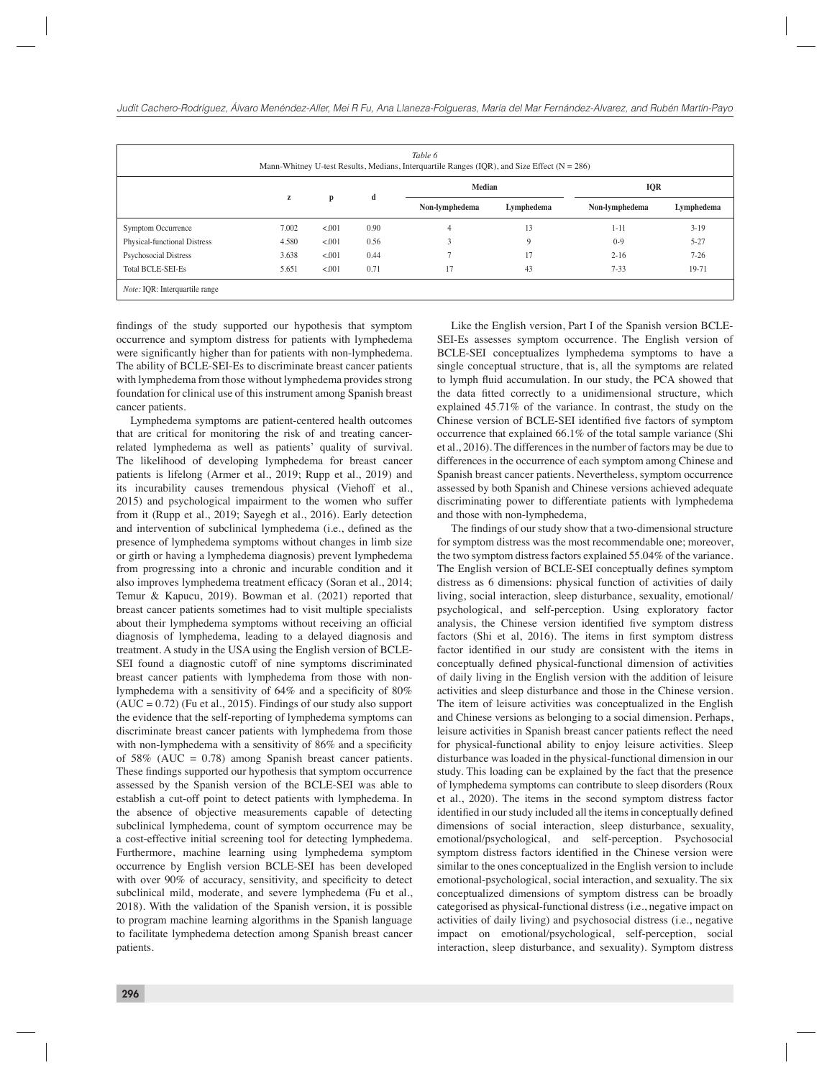| Table 6<br>Mann-Whitney U-test Results, Medians, Interquartile Ranges (IQR), and Size Effect ( $N = 286$ ) |       |        |      |                |               |                |            |  |
|------------------------------------------------------------------------------------------------------------|-------|--------|------|----------------|---------------|----------------|------------|--|
|                                                                                                            |       | p      |      |                | <b>Median</b> |                | <b>IQR</b> |  |
|                                                                                                            | z     |        | d    | Non-lymphedema | Lymphedema    | Non-lymphedema | Lymphedema |  |
| Symptom Occurrence                                                                                         | 7.002 | < .001 | 0.90 | 4              | 13            | $1 - 11$       | $3-19$     |  |
| Physical-functional Distress                                                                               | 4.580 | < .001 | 0.56 | 3              | 9             | $0-9$          | $5 - 27$   |  |
| Psychosocial Distress                                                                                      | 3.638 | < .001 | 0.44 |                | 17            | $2 - 16$       | $7-26$     |  |
| <b>Total BCLE-SEI-Es</b>                                                                                   | 5.651 | < .001 | 0.71 | 17             | 43            | $7 - 33$       | 19-71      |  |
| <i>Note:</i> IQR: Interquartile range                                                                      |       |        |      |                |               |                |            |  |

findings of the study supported our hypothesis that symptom occurrence and symptom distress for patients with lymphedema were significantly higher than for patients with non-lymphedema. The ability of BCLE-SEI-Es to discriminate breast cancer patients with lymphedema from those without lymphedema provides strong foundation for clinical use of this instrument among Spanish breast cancer patients.

Lymphedema symptoms are patient-centered health outcomes that are critical for monitoring the risk of and treating cancerrelated lymphedema as well as patients' quality of survival. The likelihood of developing lymphedema for breast cancer patients is lifelong (Armer et al., 2019; Rupp et al., 2019) and its incurability causes tremendous physical (Viehoff et al., 2015) and psychological impairment to the women who suffer from it (Rupp et al., 2019; Sayegh et al., 2016). Early detection and intervention of subclinical lymphedema (i.e., defined as the presence of lymphedema symptoms without changes in limb size or girth or having a lymphedema diagnosis) prevent lymphedema from progressing into a chronic and incurable condition and it also improves lymphedema treatment efficacy (Soran et al., 2014; Temur & Kapucu, 2019). Bowman et al. (2021) reported that breast cancer patients sometimes had to visit multiple specialists about their lymphedema symptoms without receiving an official diagnosis of lymphedema, leading to a delayed diagnosis and treatment. A study in the USA using the English version of BCLE-SEI found a diagnostic cutoff of nine symptoms discriminated breast cancer patients with lymphedema from those with nonlymphedema with a sensitivity of  $64\%$  and a specificity of  $80\%$  $(AUC = 0.72)$  (Fu et al., 2015). Findings of our study also support the evidence that the self-reporting of lymphedema symptoms can discriminate breast cancer patients with lymphedema from those with non-lymphedema with a sensitivity of  $86\%$  and a specificity of 58% (AUC =  $0.78$ ) among Spanish breast cancer patients. These findings supported our hypothesis that symptom occurrence assessed by the Spanish version of the BCLE-SEI was able to establish a cut-off point to detect patients with lymphedema. In the absence of objective measurements capable of detecting subclinical lymphedema, count of symptom occurrence may be a cost-effective initial screening tool for detecting lymphedema. Furthermore, machine learning using lymphedema symptom occurrence by English version BCLE-SEI has been developed with over 90% of accuracy, sensitivity, and specificity to detect subclinical mild, moderate, and severe lymphedema (Fu et al., 2018). With the validation of the Spanish version, it is possible to program machine learning algorithms in the Spanish language to facilitate lymphedema detection among Spanish breast cancer patients.

Like the English version, Part I of the Spanish version BCLE-SEI-Es assesses symptom occurrence. The English version of BCLE-SEI conceptualizes lymphedema symptoms to have a single conceptual structure, that is, all the symptoms are related to lymph fluid accumulation. In our study, the PCA showed that the data fitted correctly to a unidimensional structure, which explained 45.71% of the variance. In contrast, the study on the Chinese version of BCLE-SEI identified five factors of symptom occurrence that explained 66.1% of the total sample variance (Shi et al., 2016). The differences in the number of factors may be due to differences in the occurrence of each symptom among Chinese and Spanish breast cancer patients. Nevertheless, symptom occurrence assessed by both Spanish and Chinese versions achieved adequate discriminating power to differentiate patients with lymphedema and those with non-lymphedema,

The findings of our study show that a two-dimensional structure for symptom distress was the most recommendable one; moreover, the two symptom distress factors explained 55.04% of the variance. The English version of BCLE-SEI conceptually defines symptom distress as 6 dimensions: physical function of activities of daily living, social interaction, sleep disturbance, sexuality, emotional/ psychological, and self-perception. Using exploratory factor analysis, the Chinese version identified five symptom distress factors (Shi et al, 2016). The items in first symptom distress factor identified in our study are consistent with the items in conceptually defined physical-functional dimension of activities of daily living in the English version with the addition of leisure activities and sleep disturbance and those in the Chinese version. The item of leisure activities was conceptualized in the English and Chinese versions as belonging to a social dimension. Perhaps, leisure activities in Spanish breast cancer patients reflect the need for physical-functional ability to enjoy leisure activities. Sleep disturbance was loaded in the physical-functional dimension in our study. This loading can be explained by the fact that the presence of lymphedema symptoms can contribute to sleep disorders (Roux et al., 2020). The items in the second symptom distress factor identified in our study included all the items in conceptually defined dimensions of social interaction, sleep disturbance, sexuality, emotional/psychological, and self-perception. Psychosocial symptom distress factors identified in the Chinese version were similar to the ones conceptualized in the English version to include emotional-psychological, social interaction, and sexuality. The six conceptualized dimensions of symptom distress can be broadly categorised as physical-functional distress (i.e., negative impact on activities of daily living) and psychosocial distress (i.e., negative impact on emotional/psychological, self-perception, social interaction, sleep disturbance, and sexuality). Symptom distress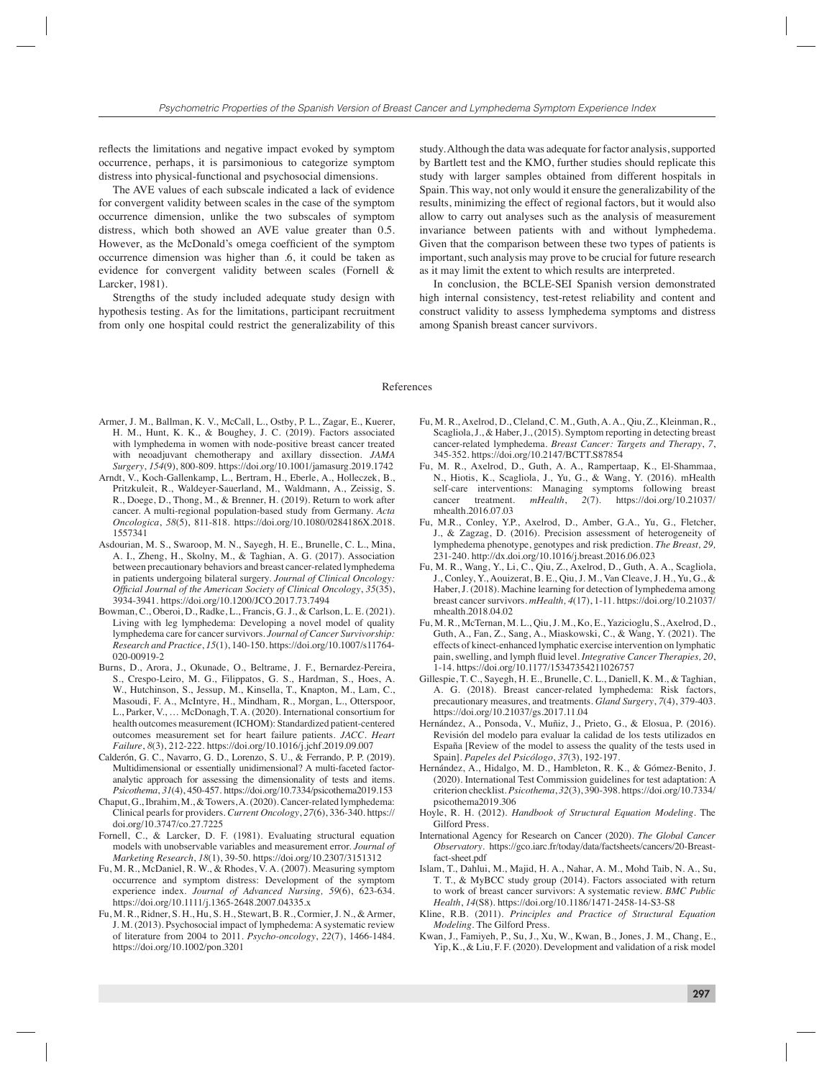reflects the limitations and negative impact evoked by symptom occurrence, perhaps, it is parsimonious to categorize symptom distress into physical-functional and psychosocial dimensions.

The AVE values of each subscale indicated a lack of evidence for convergent validity between scales in the case of the symptom occurrence dimension, unlike the two subscales of symptom distress, which both showed an AVE value greater than 0.5. However, as the McDonald's omega coefficient of the symptom occurrence dimension was higher than .6, it could be taken as evidence for convergent validity between scales (Fornell & Larcker, 1981).

Strengths of the study included adequate study design with hypothesis testing. As for the limitations, participant recruitment from only one hospital could restrict the generalizability of this

study. Although the data was adequate for factor analysis, supported by Bartlett test and the KMO, further studies should replicate this study with larger samples obtained from different hospitals in Spain. This way, not only would it ensure the generalizability of the results, minimizing the effect of regional factors, but it would also allow to carry out analyses such as the analysis of measurement invariance between patients with and without lymphedema. Given that the comparison between these two types of patients is important, such analysis may prove to be crucial for future research as it may limit the extent to which results are interpreted.

In conclusion, the BCLE-SEI Spanish version demonstrated high internal consistency, test-retest reliability and content and construct validity to assess lymphedema symptoms and distress among Spanish breast cancer survivors.

#### References

- Armer, J. M., Ballman, K. V., McCall, L., Ostby, P. L., Zagar, E., Kuerer, H. M., Hunt, K. K., & Boughey, J. C. (2019). Factors associated with lymphedema in women with node-positive breast cancer treated with neoadjuvant chemotherapy and axillary dissection. *JAMA Surgery*, *154*(9), 800-809. https://doi.org/10.1001/jamasurg.2019.1742
- Arndt, V., Koch-Gallenkamp, L., Bertram, H., Eberle, A., Holleczek, B., Pritzkuleit, R., Waldeyer-Sauerland, M., Waldmann, A., Zeissig, S. R., Doege, D., Thong, M., & Brenner, H. (2019). Return to work after cancer. A multi-regional population-based study from Germany. *Acta Oncologica*, *58*(5), 811-818. https://doi.org/10.1080/0284186X.2018. 1557341
- Asdourian, M. S., Swaroop, M. N., Sayegh, H. E., Brunelle, C. L., Mina, A. I., Zheng, H., Skolny, M., & Taghian, A. G. (2017). Association between precautionary behaviors and breast cancer-related lymphedema in patients undergoing bilateral surgery. *Journal of Clinical Oncology: Official Journal of the American Society of Clinical Oncology*, 35(35), 3934-3941. https://doi.org/10.1200/JCO.2017.73.7494
- Bowman, C., Oberoi, D., Radke, L., Francis, G. J., & Carlson, L. E. (2021). Living with leg lymphedema: Developing a novel model of quality lymphedema care for cancer survivors. *Journal of Cancer Survivorship: Research and Practice*, *15*(1), 140-150. https://doi.org/10.1007/s11764- 020-00919-2
- Burns, D., Arora, J., Okunade, O., Beltrame, J. F., Bernardez-Pereira, S., Crespo-Leiro, M. G., Filippatos, G. S., Hardman, S., Hoes, A. W., Hutchinson, S., Jessup, M., Kinsella, T., Knapton, M., Lam, C., Masoudi, F. A., McIntyre, H., Mindham, R., Morgan, L., Otterspoor, L., Parker, V., … McDonagh, T. A. (2020). International consortium for health outcomes measurement (ICHOM): Standardized patient-centered outcomes measurement set for heart failure patients. *JACC. Heart Failure*, *8*(3), 212-222. https://doi.org/10.1016/j.jchf.2019.09.007
- Calderón, G. C., Navarro, G. D., Lorenzo, S. U., & Ferrando, P. P. (2019). Multidimensional or essentially unidimensional? A multi-faceted factoranalytic approach for assessing the dimensionality of tests and items. *Psicothema*, *31*(4), 450-457. https://doi.org/10.7334/psicothema2019.153
- Chaput, G., Ibrahim, M., & Towers, A. (2020). Cancer-related lymphedema: Clinical pearls for providers. *Current Oncology*, *27*(6), 336-340. https:// doi.org/10.3747/co.27.7225
- Fornell, C., & Larcker, D. F. (1981). Evaluating structural equation models with unobservable variables and measurement error. *Journal of Marketing Research*, *18*(1), 39-50. https://doi.org/10.2307/3151312
- Fu, M. R., McDaniel, R. W., & Rhodes, V. A. (2007). Measuring symptom occurrence and symptom distress: Development of the symptom experience index. *Journal of Advanced Nursing, 59*(6), 623-634. https://doi.org/10.1111/j.1365-2648.2007.04335.x
- Fu, M. R., Ridner, S. H., Hu, S. H., Stewart, B. R., Cormier, J. N., & Armer, J. M. (2013). Psychosocial impact of lymphedema: A systematic review of literature from 2004 to 2011. *Psycho-oncology*, *22*(7), 1466-1484. https://doi.org/10.1002/pon.3201
- Fu, M. R., Axelrod, D., Cleland, C. M., Guth, A. A., Qiu, Z., Kleinman, R., Scagliola, J., & Haber, J., (2015). Symptom reporting in detecting breast cancer-related lymphedema. *Breast Cancer: Targets and Therapy*, *7*, 345-352. https://doi.org/10.2147/BCTT.S87854
- Fu, M. R., Axelrod, D., Guth, A. A., Rampertaap, K., El-Shammaa, N., Hiotis, K., Scagliola, J., Yu, G., & Wang, Y. (2016). mHealth self-care interventions: Managing symptoms following breast cancer treatment. mHealth, 2(7). https://doi.org/10.21037/ cancer treatment. *mHealth*, *2*(7). https://doi.org/10.21037/ mhealth.2016.07.03
- Fu, M.R., Conley, Y.P., Axelrod, D., Amber, G.A., Yu, G., Fletcher, J., & Zagzag, D. (2016). Precision assessment of heterogeneity of lymphedema phenotype, genotypes and risk prediction. *The Breast, 29,*  231-240*.* http://dx.doi.org/10.1016/j.breast.2016.06.023
- Fu, M. R., Wang, Y., Li, C., Qiu, Z., Axelrod, D., Guth, A. A., Scagliola, J., Conley, Y., Aouizerat, B. E., Qiu, J. M., Van Cleave, J. H., Yu, G., & Haber, J. (2018). Machine learning for detection of lymphedema among breast cancer survivors. *mHealth, 4*(17), 1-11. https://doi.org/10.21037/ mhealth.2018.04.02
- Fu, M. R., McTernan, M. L., Qiu, J. M., Ko, E., Yazicioglu, S., Axelrod, D., Guth, A., Fan, Z., Sang, A., Miaskowski, C., & Wang, Y. (2021). The effects of kinect-enhanced lymphatic exercise intervention on lymphatic pain, swelling, and lymph fluid level. *Integrative Cancer Therapies*, 20, 1-14. https://doi.org/10.1177/15347354211026757
- Gillespie, T. C., Sayegh, H. E., Brunelle, C. L., Daniell, K. M., & Taghian, A. G. (2018). Breast cancer-related lymphedema: Risk factors, precautionary measures, and treatments. *Gland Surgery*, *7*(4), 379-403. https://doi.org/10.21037/gs.2017.11.04
- Hernández, A., Ponsoda, V., Muñiz, J., Prieto, G., & Elosua, P. (2016). Revisión del modelo para evaluar la calidad de los tests utilizados en España [Review of the model to assess the quality of the tests used in Spain]. *Papeles del Psicólogo*, *37*(3), 192-197.
- Hernández, A., Hidalgo, M. D., Hambleton, R. K., & Gómez-Benito, J. (2020). International Test Commission guidelines for test adaptation: A criterion checklist. *Psicothema*, *32*(3), 390-398. https://doi.org/10.7334/ psicothema2019.306
- Hoyle, R. H. (2012). *Handbook of Structural Equation Modeling*. The Gilford Press.
- International Agency for Research on Cancer (2020). *The Global Cancer Observatory*. https://gco.iarc.fr/today/data/factsheets/cancers/20-Breastfact-sheet.pdf
- Islam, T., Dahlui, M., Majid, H. A., Nahar, A. M., Mohd Taib, N. A., Su, T. T., & MyBCC study group (2014). Factors associated with return to work of breast cancer survivors: A systematic review. *BMC Public Health*, *14*(S8). https://doi.org/10.1186/1471-2458-14-S3-S8
- Kline, R.B. (2011). *Principles and Practice of Structural Equation Modeling*. The Gilford Press.
- Kwan, J., Famiyeh, P., Su, J., Xu, W., Kwan, B., Jones, J. M., Chang, E., Yip, K., & Liu, F. F. (2020). Development and validation of a risk model